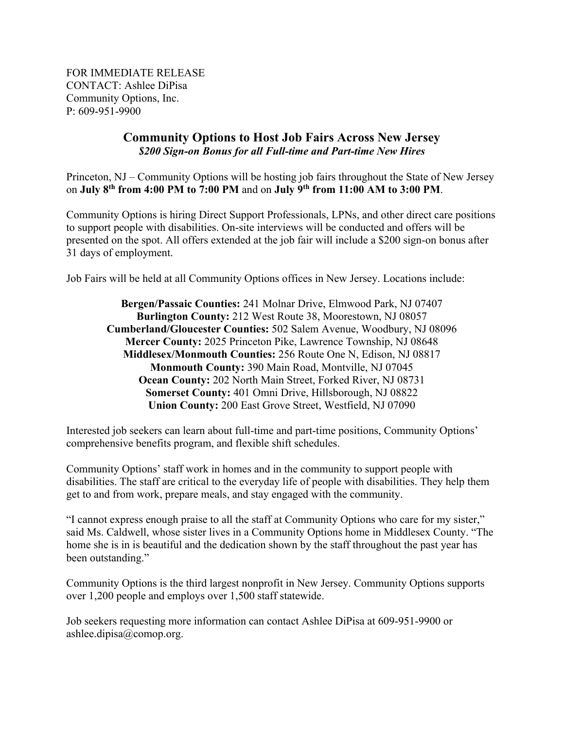FOR IMMEDIATE RELEASE CONTACT: Ashlee DiPisa Community Options, Inc. P: 609-951-9900

## **Community Options to Host Job Fairs Across New Jersey**  *\$200 Sign-on Bonus for all Full-time and Part-time New Hires*

Princeton, NJ – Community Options will be hosting job fairs throughout the State of New Jersey on **July 8th from 4:00 PM to 7:00 PM** and on **July 9th from 11:00 AM to 3:00 PM**.

Community Options is hiring Direct Support Professionals, LPNs, and other direct care positions to support people with disabilities. On-site interviews will be conducted and offers will be presented on the spot. All offers extended at the job fair will include a \$200 sign-on bonus after 31 days of employment.

Job Fairs will be held at all Community Options offices in New Jersey. Locations include:

**Bergen/Passaic Counties:** 241 Molnar Drive, Elmwood Park, NJ 07407 **Burlington County:** 212 West Route 38, Moorestown, NJ 08057 **Cumberland/Gloucester Counties:** 502 Salem Avenue, Woodbury, NJ 08096 **Mercer County:** 2025 Princeton Pike, Lawrence Township, NJ 08648 **Middlesex/Monmouth Counties:** 256 Route One N, Edison, NJ 08817 **Monmouth County:** 390 Main Road, Montville, NJ 07045 **Ocean County:** 202 North Main Street, Forked River, NJ 08731 **Somerset County:** 401 Omni Drive, Hillsborough, NJ 08822 **Union County:** 200 East Grove Street, Westfield, NJ 07090

Interested job seekers can learn about full-time and part-time positions, Community Options' comprehensive benefits program, and flexible shift schedules.

Community Options' staff work in homes and in the community to support people with disabilities. The staff are critical to the everyday life of people with disabilities. They help them get to and from work, prepare meals, and stay engaged with the community.

"I cannot express enough praise to all the staff at Community Options who care for my sister," said Ms. Caldwell, whose sister lives in a Community Options home in Middlesex County. "The home she is in is beautiful and the dedication shown by the staff throughout the past year has been outstanding."

Community Options is the third largest nonprofit in New Jersey. Community Options supports over 1,200 people and employs over 1,500 staff statewide.

Job seekers requesting more information can contact Ashlee DiPisa at 609-951-9900 or ashlee.dipisa@comop.org.